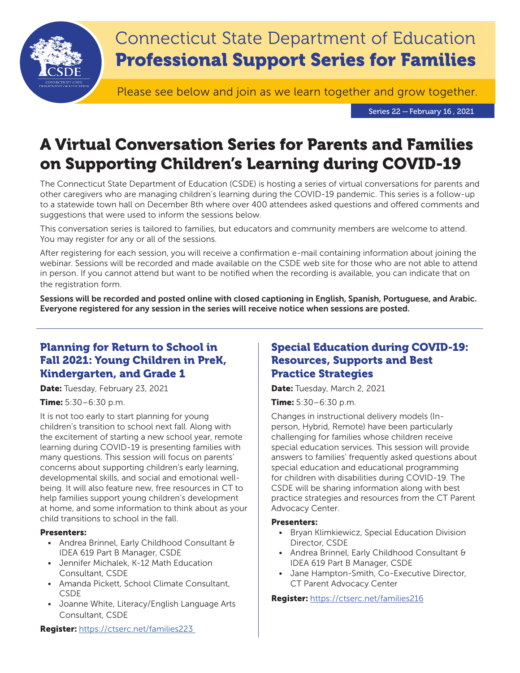

Series 22 — February 16 , 2021

# A Virtual Conversation Series for Parents and Families on Supporting Children's Learning during COVID-19

The Connecticut State Department of Education (CSDE) is hosting a series of virtual conversations for parents and other caregivers who are managing children's learning during the COVID-19 pandemic. This series is a follow-up to a statewide town hall on December 8th where over 400 attendees asked questions and offered comments and suggestions that were used to inform the sessions below.

This conversation series is tailored to families, but educators and community members are welcome to attend. You may register for any or all of the sessions.

After registering for each session, you will receive a confirmation e-mail containing information about joining the webinar. Sessions will be recorded and made available on the CSDE web site for those who are not able to attend in person. If you cannot attend but want to be notified when the recording is available, you can indicate that on the registration form.

Sessions will be recorded and posted online with closed captioning in English, Spanish, Portuguese, and Arabic. Everyone registered for any session in the series will receive notice when sessions are posted.

# Planning for Return to School in Fall 2021: Young Children in PreK, Kindergarten, and Grade 1

Date: Tuesday, February 23, 2021

## Time: 5:30–6:30 p.m.

It is not too early to start planning for young children's transition to school next fall. Along with the excitement of starting a new school year, remote learning during COVID-19 is presenting families with many questions. This session will focus on parents' concerns about supporting children's early learning, developmental skills, and social and emotional wellbeing. It will also feature new, free resources in CT to help families support young children's development at home, and some information to think about as your child transitions to school in the fall.

## Presenters:

- Andrea Brinnel, Early Childhood Consultant & IDEA 619 Part B Manager, CSDE
- Jennifer Michalek, K-12 Math Education Consultant, CSDE
- Amanda Pickett, School Climate Consultant, CSDE
- Joanne White, Literacy/English Language Arts Consultant, CSDE

# Special Education during COVID-19: Resources, Supports and Best Practice Strategies

Date: Tuesday, March 2, 2021

Time: 5:30–6:30 p.m.

Changes in instructional delivery models (Inperson, Hybrid, Remote) have been particularly challenging for families whose children receive special education services. This session will provide answers to families' frequently asked questions about special education and educational programming for children with disabilities during COVID-19. The CSDE will be sharing information along with best practice strategies and resources from the CT Parent Advocacy Center.

#### Presenters:

- Bryan Klimkiewicz, Special Education Division Director, CSDE
- Andrea Brinnel, Early Childhood Consultant & IDEA 619 Part B Manager, CSDE
- Jane Hampton-Smith, Co-Executive Director, CT Parent Advocacy Center

## Register: <https://ctserc.net/families216>

Register: <https://ctserc.net/families223>